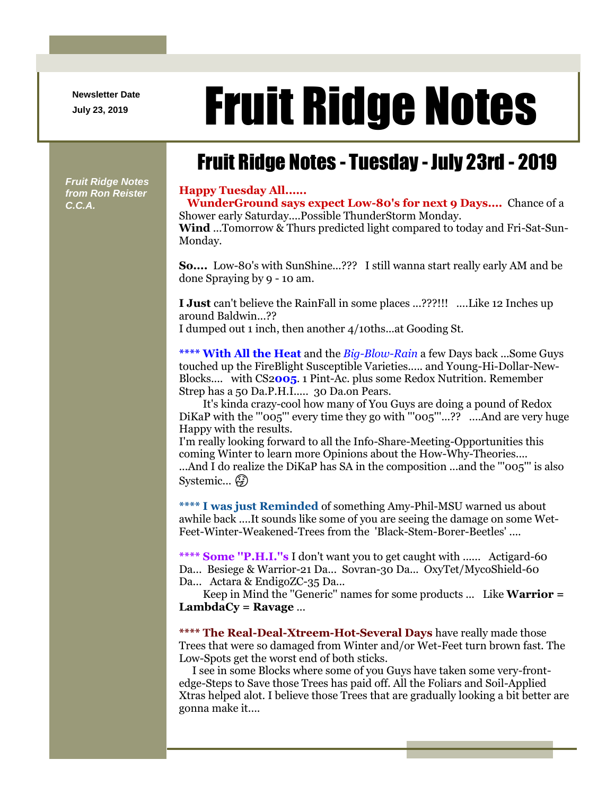**Newsletter Date**

# Newsletter Date **Fruit Ridge Notes**

## Fruit Ridge Notes - Tuesday - July 23rd - 2019

*Fruit Ridge Notes from Ron Reister C.C.A.*

#### **Happy Tuesday All......**

Monday.

**WunderGround says expect Low-80's for next 9 Days....** Chance of a Shower early Saturday....Possible ThunderStorm Monday. **Wind** ...Tomorrow & Thurs predicted light compared to today and Fri-Sat-Sun-

**So....** Low-80's with SunShine...??? I still wanna start really early AM and be done Spraying by 9 - 10 am.

**I Just** can't believe the RainFall in some places ...???!!! ....Like 12 Inches up around Baldwin...??

I dumped out 1 inch, then another 4/10ths...at Gooding St.

**\*\*\*\* With All the Heat** and the *Big-Blow-Rain* a few Days back ...Some Guys touched up the FireBlight Susceptible Varieties..... and Young-Hi-Dollar-New-Blocks.... with CS2**005**. 1 Pint-Ac. plus some Redox Nutrition. Remember Strep has a 50 Da.P.H.I..... 30 Da.on Pears.

It's kinda crazy-cool how many of You Guys are doing a pound of Redox DiKaP with the "'005"' every time they go with "'005"'...?? ....And are very huge Happy with the results.

I'm really looking forward to all the Info-Share-Meeting-Opportunities this coming Winter to learn more Opinions about the How-Why-Theories.... ...And I do realize the DiKaP has SA in the composition ...and the "'005"' is also Systemic... (5)

**\*\*\*\* I was just Reminded** of something Amy-Phil-MSU warned us about awhile back ....It sounds like some of you are seeing the damage on some Wet-Feet-Winter-Weakened-Trees from the 'Black-Stem-Borer-Beetles' ....

**\*\*\*\* Some ''P.H.I.''s** I don't want you to get caught with ...... Actigard-60 Da... Besiege & Warrior-21 Da... Sovran-30 Da... OxyTet/MycoShield-60 Da... Actara & EndigoZC-35 Da...

Keep in Mind the ''Generic'' names for some products ... Like **Warrior = LambdaCy = Ravage** ...

**\*\*\*\* The Real-Deal-Xtreem-Hot-Several Days** have really made those Trees that were so damaged from Winter and/or Wet-Feet turn brown fast. The Low-Spots get the worst end of both sticks.

I see in some Blocks where some of you Guys have taken some very-frontedge-Steps to Save those Trees has paid off. All the Foliars and Soil-Applied Xtras helped alot. I believe those Trees that are gradually looking a bit better are gonna make it....